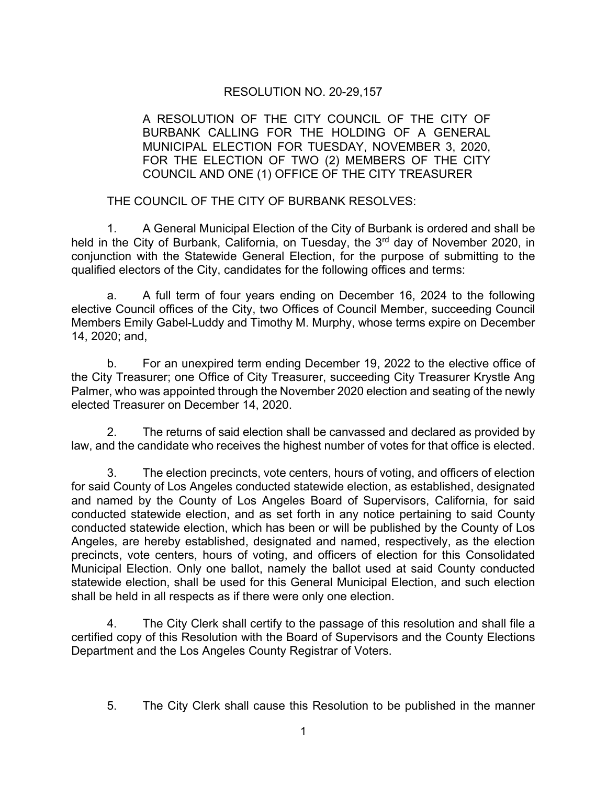## RESOLUTION NO. 20-29,157

A RESOLUTION OF THE CITY COUNCIL OF THE CITY OF BURBANK CALLING FOR THE HOLDING OF A GENERAL MUNICIPAL ELECTION FOR TUESDAY, NOVEMBER 3, 2020, FOR THE ELECTION OF TWO (2) MEMBERS OF THE CITY COUNCIL AND ONE (1) OFFICE OF THE CITY TREASURER

THE COUNCIL OF THE CITY OF BURBANK RESOLVES:

1. A General Municipal Election of the City of Burbank is ordered and shall be held in the City of Burbank, California, on Tuesday, the 3<sup>rd</sup> day of November 2020, in conjunction with the Statewide General Election, for the purpose of submitting to the qualified electors of the City, candidates for the following offices and terms:

a. A full term of four years ending on December 16, 2024 to the following elective Council offices of the City, two Offices of Council Member, succeeding Council Members Emily Gabel-Luddy and Timothy M. Murphy, whose terms expire on December 14, 2020; and,

b. For an unexpired term ending December 19, 2022 to the elective office of the City Treasurer; one Office of City Treasurer, succeeding City Treasurer Krystle Ang Palmer, who was appointed through the November 2020 election and seating of the newly elected Treasurer on December 14, 2020.

2. The returns of said election shall be canvassed and declared as provided by law, and the candidate who receives the highest number of votes for that office is elected.

3. The election precincts, vote centers, hours of voting, and officers of election for said County of Los Angeles conducted statewide election, as established, designated and named by the County of Los Angeles Board of Supervisors, California, for said conducted statewide election, and as set forth in any notice pertaining to said County conducted statewide election, which has been or will be published by the County of Los Angeles, are hereby established, designated and named, respectively, as the election precincts, vote centers, hours of voting, and officers of election for this Consolidated Municipal Election. Only one ballot, namely the ballot used at said County conducted statewide election, shall be used for this General Municipal Election, and such election shall be held in all respects as if there were only one election.

4. The City Clerk shall certify to the passage of this resolution and shall file a certified copy of this Resolution with the Board of Supervisors and the County Elections Department and the Los Angeles County Registrar of Voters.

5. The City Clerk shall cause this Resolution to be published in the manner